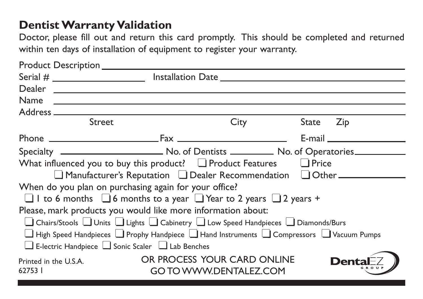## **Dentist Warranty Validation**

Doctor, please fill out and return this card promptly. This should be completed and returned within ten days of installation of equipment to register your warranty.

| Name                                                                                   | <u> Andreas Andreas Andreas Andreas Andreas Andreas Andreas Andreas Andreas Andreas Andreas Andreas Andreas Andreas Andreas Andreas Andreas Andreas Andreas Andreas Andreas Andreas Andreas Andreas Andreas Andreas Andreas Andr</u> |                                                              |           |
|----------------------------------------------------------------------------------------|--------------------------------------------------------------------------------------------------------------------------------------------------------------------------------------------------------------------------------------|--------------------------------------------------------------|-----------|
|                                                                                        |                                                                                                                                                                                                                                      |                                                              |           |
|                                                                                        | <b>Street</b>                                                                                                                                                                                                                        | City                                                         | State Zip |
|                                                                                        |                                                                                                                                                                                                                                      |                                                              |           |
|                                                                                        |                                                                                                                                                                                                                                      |                                                              |           |
| What influenced you to buy this product? $\Box$ Product Features $\Box$ Price          |                                                                                                                                                                                                                                      |                                                              |           |
| Manufacturer's Reputation Dealer Recommendation DOther                                 |                                                                                                                                                                                                                                      |                                                              |           |
| When do you plan on purchasing again for your office?                                  |                                                                                                                                                                                                                                      |                                                              |           |
| $\Box$ I to 6 months $\Box$ 6 months to a year $\Box$ Year to 2 years $\Box$ 2 years + |                                                                                                                                                                                                                                      |                                                              |           |
| Please, mark products you would like more information about:                           |                                                                                                                                                                                                                                      |                                                              |           |
| □ Chairs/Stools □ Units □ Lights □ Cabinetry □ Low Speed Handpieces □ Diamonds/Burs    |                                                                                                                                                                                                                                      |                                                              |           |
| High Speed Handpieces Theophy Handpiece Thand Instruments Theophysis TVacuum Pumps     |                                                                                                                                                                                                                                      |                                                              |           |
| $\Box$ E-lectric Handpiece $\Box$ Sonic Scaler $\Box$ Lab Benches                      |                                                                                                                                                                                                                                      |                                                              |           |
| Printed in the U.S.A.<br>62753 T                                                       |                                                                                                                                                                                                                                      | OR PROCESS YOUR CARD ONLINE<br><b>GO TO WWW.DENTALEZ.COM</b> | Deni      |